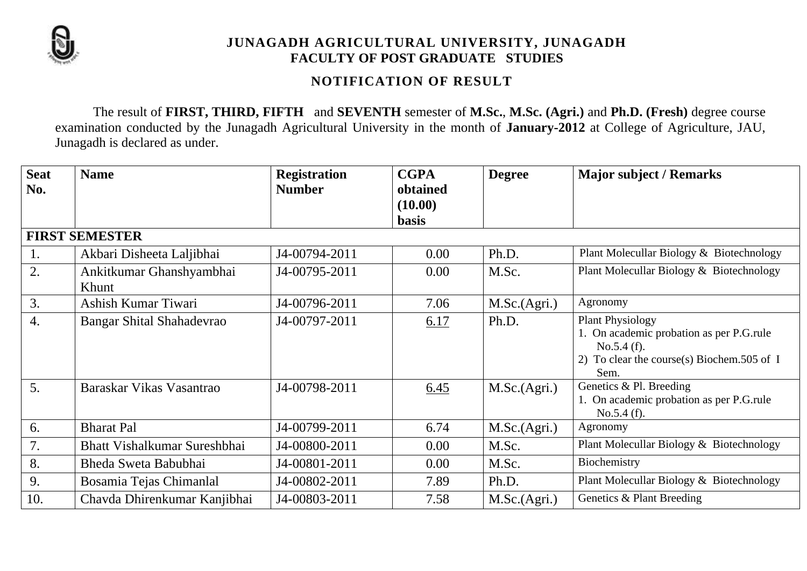

# **JUNAGADH AGRICULTURAL UNIVERSITY, JUNAGADH FACULTY OF POST GRADUATE STUDIES**

## **NOTIFICATION OF RESULT**

The result of **FIRST, THIRD, FIFTH** and **SEVENTH** semester of **M.Sc.**, **M.Sc. (Agri.)** and **Ph.D. (Fresh)** degree course examination conducted by the Junagadh Agricultural University in the month of **January-2012** at College of Agriculture, JAU, Junagadh is declared as under.

| <b>Seat</b>      | <b>Name</b>                         | <b>Registration</b> | <b>CGPA</b>  | <b>Degree</b> | <b>Major subject / Remarks</b>                           |
|------------------|-------------------------------------|---------------------|--------------|---------------|----------------------------------------------------------|
| No.              |                                     | <b>Number</b>       | obtained     |               |                                                          |
|                  |                                     |                     | (10.00)      |               |                                                          |
|                  |                                     |                     | <b>basis</b> |               |                                                          |
|                  | <b>FIRST SEMESTER</b>               |                     |              |               |                                                          |
| 1.               | Akbari Disheeta Laljibhai           | J4-00794-2011       | 0.00         | Ph.D.         | Plant Molecullar Biology & Biotechnology                 |
| 2.               | Ankitkumar Ghanshyambhai            | J4-00795-2011       | 0.00         | M.Sc.         | Plant Molecullar Biology & Biotechnology                 |
|                  | Khunt                               |                     |              |               |                                                          |
| 3.               | Ashish Kumar Tiwari                 | J4-00796-2011       | 7.06         | M.Sc.(Agri.)  | Agronomy                                                 |
| $\overline{4}$ . | Bangar Shital Shahadevrao           | J4-00797-2011       | 6.17         | Ph.D.         | <b>Plant Physiology</b>                                  |
|                  |                                     |                     |              |               | 1. On academic probation as per P.G.rule                 |
|                  |                                     |                     |              |               | No.5.4(f).<br>2) To clear the course(s) Biochem.505 of I |
|                  |                                     |                     |              |               | Sem.                                                     |
| 5.               | Baraskar Vikas Vasantrao            | J4-00798-2011       | 6.45         | M.Sc.(Agri.)  | Genetics & Pl. Breeding                                  |
|                  |                                     |                     |              |               | 1. On academic probation as per P.G.rule                 |
| 6.               | <b>Bharat Pal</b>                   | J4-00799-2011       | 6.74         |               | No.5.4(f).<br>Agronomy                                   |
|                  |                                     |                     |              | M.Sc.(Agri.)  |                                                          |
| 7.               | <b>Bhatt Vishalkumar Sureshbhai</b> | J4-00800-2011       | 0.00         | M.Sc.         | Plant Molecullar Biology & Biotechnology                 |
| 8.               | Bheda Sweta Babubhai                | J4-00801-2011       | 0.00         | M.Sc.         | Biochemistry                                             |
| 9.               | Bosamia Tejas Chimanlal             | J4-00802-2011       | 7.89         | Ph.D.         | Plant Molecullar Biology & Biotechnology                 |
| 10.              | Chavda Dhirenkumar Kanjibhai        | J4-00803-2011       | 7.58         | M.Sc.(Agri.)  | Genetics & Plant Breeding                                |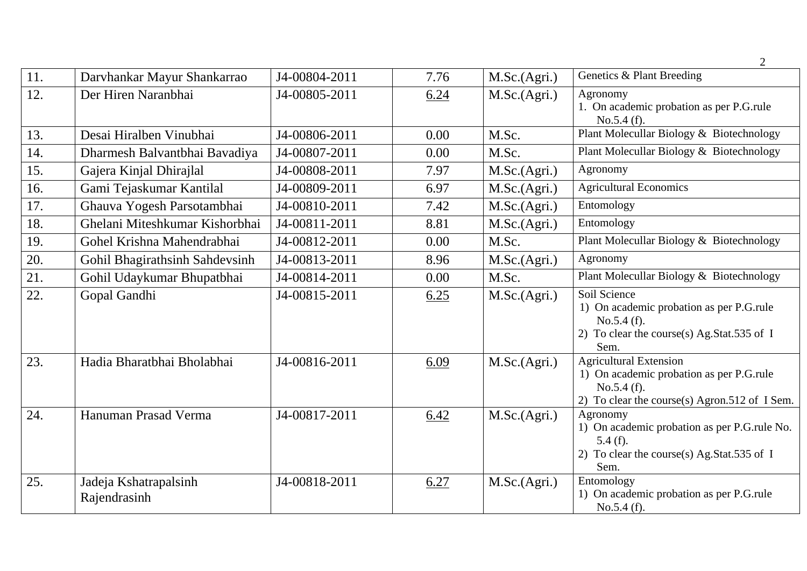|     |                                       |               |      |              | $\overline{2}$                                                                                                                           |
|-----|---------------------------------------|---------------|------|--------------|------------------------------------------------------------------------------------------------------------------------------------------|
| 11. | Darvhankar Mayur Shankarrao           | J4-00804-2011 | 7.76 | M.Sc.(Agri.) | Genetics & Plant Breeding                                                                                                                |
| 12. | Der Hiren Naranbhai                   | J4-00805-2011 | 6.24 | M.Sc.(Agri.) | Agronomy<br>1. On academic probation as per P.G.rule<br>No.5.4(f).                                                                       |
| 13. | Desai Hiralben Vinubhai               | J4-00806-2011 | 0.00 | M.Sc.        | Plant Molecullar Biology & Biotechnology                                                                                                 |
| 14. | Dharmesh Balvantbhai Bavadiya         | J4-00807-2011 | 0.00 | M.Sc.        | Plant Molecullar Biology & Biotechnology                                                                                                 |
| 15. | Gajera Kinjal Dhirajlal               | J4-00808-2011 | 7.97 | M.Sc.(Agri.) | Agronomy                                                                                                                                 |
| 16. | Gami Tejaskumar Kantilal              | J4-00809-2011 | 6.97 | M.Sc.(Agri.) | <b>Agricultural Economics</b>                                                                                                            |
| 17. | Ghauva Yogesh Parsotambhai            | J4-00810-2011 | 7.42 | M.Sc.(Agri.) | Entomology                                                                                                                               |
| 18. | Ghelani Miteshkumar Kishorbhai        | J4-00811-2011 | 8.81 | M.Sc.(Agri.) | Entomology                                                                                                                               |
| 19. | Gohel Krishna Mahendrabhai            | J4-00812-2011 | 0.00 | M.Sc.        | Plant Molecullar Biology & Biotechnology                                                                                                 |
| 20. | Gohil Bhagirathsinh Sahdevsinh        | J4-00813-2011 | 8.96 | M.Sc.(Agri.) | Agronomy                                                                                                                                 |
| 21. | Gohil Udaykumar Bhupatbhai            | J4-00814-2011 | 0.00 | M.Sc.        | Plant Molecullar Biology & Biotechnology                                                                                                 |
| 22. | Gopal Gandhi                          | J4-00815-2011 | 6.25 | M.Sc.(Agri.) | Soil Science<br>1) On academic probation as per P.G.rule<br>No.5.4(f).<br>2) To clear the course(s) Ag.Stat.535 of I<br>Sem.             |
| 23. | Hadia Bharatbhai Bholabhai            | J4-00816-2011 | 6.09 | M.Sc.(Agri.) | <b>Agricultural Extension</b><br>1) On academic probation as per P.G.rule<br>No.5.4(f).<br>2) To clear the course(s) Agron.512 of I Sem. |
| 24. | Hanuman Prasad Verma                  | J4-00817-2011 | 6.42 | M.Sc.(Agri.) | Agronomy<br>1) On academic probation as per P.G.rule No.<br>$5.4(f)$ .<br>2) To clear the course(s) Ag.Stat.535 of I<br>Sem.             |
| 25. | Jadeja Kshatrapalsinh<br>Rajendrasinh | J4-00818-2011 | 6.27 | M.Sc.(Agri.) | Entomology<br>1) On academic probation as per P.G.rule<br>No.5.4(f).                                                                     |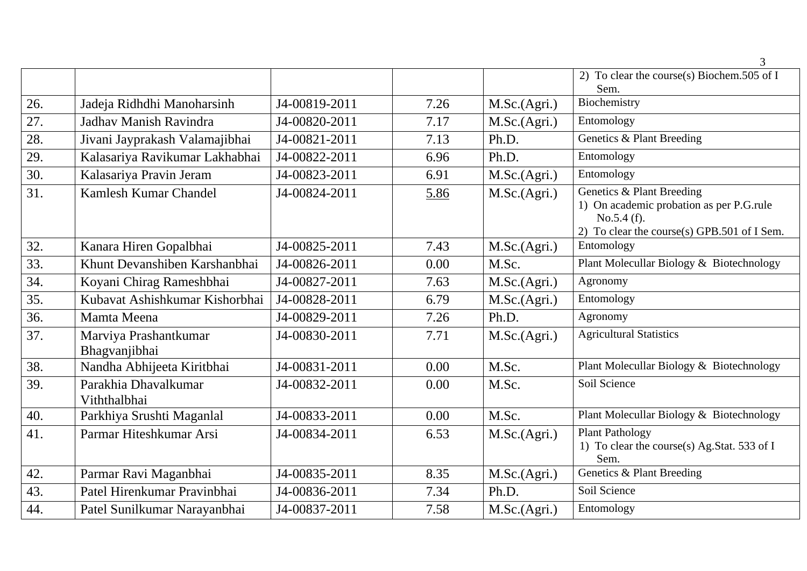|     |                                        |               |      |              | 3                                                                                                                                  |
|-----|----------------------------------------|---------------|------|--------------|------------------------------------------------------------------------------------------------------------------------------------|
|     |                                        |               |      |              | 2) To clear the course(s) Biochem.505 of I<br>Sem.                                                                                 |
| 26. | Jadeja Ridhdhi Manoharsinh             | J4-00819-2011 | 7.26 | M.Sc.(Agri.) | Biochemistry                                                                                                                       |
| 27. | Jadhav Manish Ravindra                 | J4-00820-2011 | 7.17 | M.Sc.(Agri.) | Entomology                                                                                                                         |
| 28. | Jivani Jayprakash Valamajibhai         | J4-00821-2011 | 7.13 | Ph.D.        | Genetics & Plant Breeding                                                                                                          |
| 29. | Kalasariya Ravikumar Lakhabhai         | J4-00822-2011 | 6.96 | Ph.D.        | Entomology                                                                                                                         |
| 30. | Kalasariya Pravin Jeram                | J4-00823-2011 | 6.91 | M.Sc.(Agri.) | Entomology                                                                                                                         |
| 31. | Kamlesh Kumar Chandel                  | J4-00824-2011 | 5.86 | M.Sc.(Agri.) | Genetics & Plant Breeding<br>1) On academic probation as per P.G.rule<br>No.5.4(f).<br>2) To clear the course(s) GPB.501 of I Sem. |
| 32. | Kanara Hiren Gopalbhai                 | J4-00825-2011 | 7.43 | M.Sc.(Agri.) | Entomology                                                                                                                         |
| 33. | Khunt Devanshiben Karshanbhai          | J4-00826-2011 | 0.00 | M.Sc.        | Plant Molecullar Biology & Biotechnology                                                                                           |
| 34. | Koyani Chirag Rameshbhai               | J4-00827-2011 | 7.63 | M.Sc.(Agri.) | Agronomy                                                                                                                           |
| 35. | Kubayat Ashishkumar Kishorbhai         | J4-00828-2011 | 6.79 | M.Sc.(Agri.) | Entomology                                                                                                                         |
| 36. | Mamta Meena                            | J4-00829-2011 | 7.26 | Ph.D.        | Agronomy                                                                                                                           |
| 37. | Marviya Prashantkumar<br>Bhagvanjibhai | J4-00830-2011 | 7.71 | M.Sc.(Agri.) | <b>Agricultural Statistics</b>                                                                                                     |
| 38. | Nandha Abhijeeta Kiritbhai             | J4-00831-2011 | 0.00 | M.Sc.        | Plant Molecullar Biology & Biotechnology                                                                                           |
| 39. | Parakhia Dhavalkumar<br>Viththalbhai   | J4-00832-2011 | 0.00 | M.Sc.        | Soil Science                                                                                                                       |
| 40. | Parkhiya Srushti Maganlal              | J4-00833-2011 | 0.00 | M.Sc.        | Plant Molecullar Biology & Biotechnology                                                                                           |
| 41. | Parmar Hiteshkumar Arsi                | J4-00834-2011 | 6.53 | M.Sc.(Agri.) | <b>Plant Pathology</b><br>1) To clear the course(s) Ag.Stat. 533 of I<br>Sem.                                                      |
| 42. | Parmar Ravi Maganbhai                  | J4-00835-2011 | 8.35 | M.Sc.(Agri.) | Genetics & Plant Breeding                                                                                                          |
| 43. | Patel Hirenkumar Pravinbhai            | J4-00836-2011 | 7.34 | Ph.D.        | Soil Science                                                                                                                       |
| 44. | Patel Sunilkumar Narayanbhai           | J4-00837-2011 | 7.58 | M.Sc.(Agri.) | Entomology                                                                                                                         |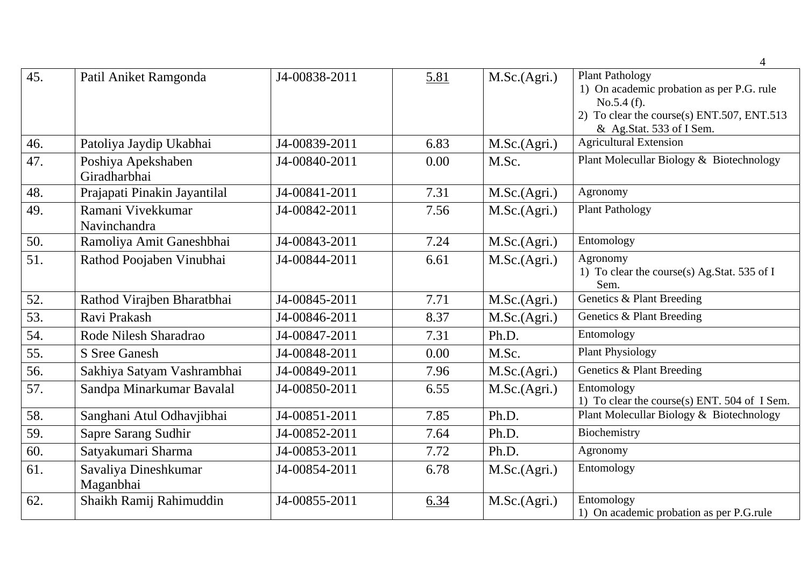|     |                                    |               |      |              | $\overline{4}$                                                                                                                                              |
|-----|------------------------------------|---------------|------|--------------|-------------------------------------------------------------------------------------------------------------------------------------------------------------|
| 45. | Patil Aniket Ramgonda              | J4-00838-2011 | 5.81 | M.Sc.(Agri.) | <b>Plant Pathology</b><br>1) On academic probation as per P.G. rule<br>No.5.4(f).<br>2) To clear the course(s) ENT.507, ENT.513<br>& Ag.Stat. 533 of I Sem. |
| 46. | Patoliya Jaydip Ukabhai            | J4-00839-2011 | 6.83 | M.Sc.(Agri.) | <b>Agricultural Extension</b>                                                                                                                               |
| 47. | Poshiya Apekshaben<br>Giradharbhai | J4-00840-2011 | 0.00 | M.Sc.        | Plant Molecullar Biology & Biotechnology                                                                                                                    |
| 48. | Prajapati Pinakin Jayantilal       | J4-00841-2011 | 7.31 | M.Sc.(Agri.) | Agronomy                                                                                                                                                    |
| 49. | Ramani Vivekkumar<br>Navinchandra  | J4-00842-2011 | 7.56 | M.Sc.(Agri.) | <b>Plant Pathology</b>                                                                                                                                      |
| 50. | Ramoliya Amit Ganeshbhai           | J4-00843-2011 | 7.24 | M.Sc.(Agri.) | Entomology                                                                                                                                                  |
| 51. | Rathod Poojaben Vinubhai           | J4-00844-2011 | 6.61 | M.Sc.(Agri.) | Agronomy<br>1) To clear the course(s) Ag.Stat. 535 of I<br>Sem.                                                                                             |
| 52. | Rathod Virajben Bharatbhai         | J4-00845-2011 | 7.71 | M.Sc.(Agri.) | Genetics & Plant Breeding                                                                                                                                   |
| 53. | Ravi Prakash                       | J4-00846-2011 | 8.37 | M.Sc.(Agri.) | Genetics & Plant Breeding                                                                                                                                   |
| 54. | Rode Nilesh Sharadrao              | J4-00847-2011 | 7.31 | Ph.D.        | Entomology                                                                                                                                                  |
| 55. | S Sree Ganesh                      | J4-00848-2011 | 0.00 | M.Sc.        | <b>Plant Physiology</b>                                                                                                                                     |
| 56. | Sakhiya Satyam Vashrambhai         | J4-00849-2011 | 7.96 | M.Sc.(Agri.) | Genetics & Plant Breeding                                                                                                                                   |
| 57. | Sandpa Minarkumar Bavalal          | J4-00850-2011 | 6.55 | M.Sc.(Agri.) | Entomology<br>1) To clear the course(s) ENT. 504 of I Sem.                                                                                                  |
| 58. | Sanghani Atul Odhavjibhai          | J4-00851-2011 | 7.85 | Ph.D.        | Plant Molecullar Biology & Biotechnology                                                                                                                    |
| 59. | Sapre Sarang Sudhir                | J4-00852-2011 | 7.64 | Ph.D.        | Biochemistry                                                                                                                                                |
| 60. | Satyakumari Sharma                 | J4-00853-2011 | 7.72 | Ph.D.        | Agronomy                                                                                                                                                    |
| 61. | Savaliya Dineshkumar<br>Maganbhai  | J4-00854-2011 | 6.78 | M.Sc.(Agri.) | Entomology                                                                                                                                                  |
| 62. | Shaikh Ramij Rahimuddin            | J4-00855-2011 | 6.34 | M.Sc.(Agri.) | Entomology<br>1) On academic probation as per P.G.rule                                                                                                      |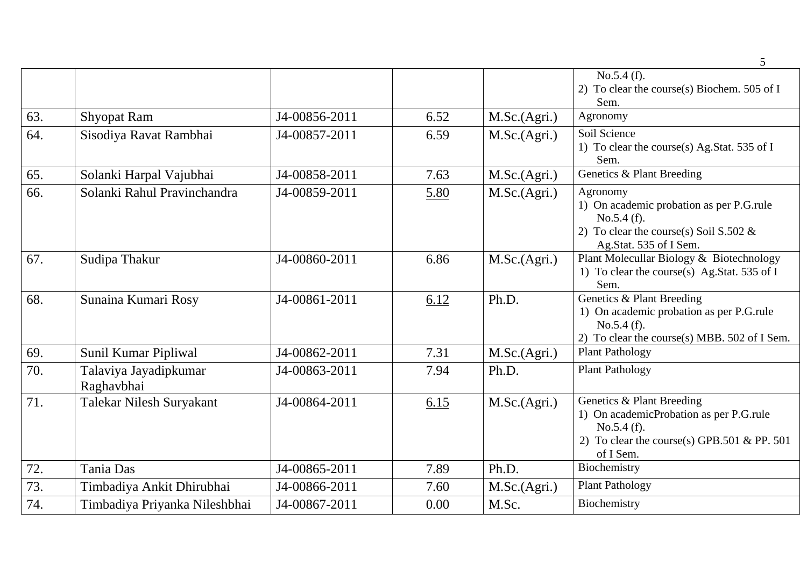|     |                                     |               |      |              | 5                                                                                                                                              |
|-----|-------------------------------------|---------------|------|--------------|------------------------------------------------------------------------------------------------------------------------------------------------|
|     |                                     |               |      |              | No.5.4(f).<br>2) To clear the course(s) Biochem. 505 of I<br>Sem.                                                                              |
| 63. | <b>Shyopat Ram</b>                  | J4-00856-2011 | 6.52 | M.Sc.(Agri.) | Agronomy                                                                                                                                       |
| 64. | Sisodiya Ravat Rambhai              | J4-00857-2011 | 6.59 | M.Sc.(Agri.) | Soil Science<br>1) To clear the course(s) Ag.Stat. 535 of I<br>Sem.                                                                            |
| 65. | Solanki Harpal Vajubhai             | J4-00858-2011 | 7.63 | M.Sc.(Agri.) | Genetics & Plant Breeding                                                                                                                      |
| 66. | Solanki Rahul Pravinchandra         | J4-00859-2011 | 5.80 | M.Sc.(Agri.) | Agronomy<br>1) On academic probation as per P.G.rule<br>No.5.4(f).<br>2) To clear the course(s) Soil S.502 $\&$<br>Ag.Stat. 535 of I Sem.      |
| 67. | Sudipa Thakur                       | J4-00860-2011 | 6.86 | M.Sc.(Agri.) | Plant Molecullar Biology & Biotechnology<br>1) To clear the course(s) Ag.Stat. 535 of I<br>Sem.                                                |
| 68. | Sunaina Kumari Rosy                 | J4-00861-2011 | 6.12 | Ph.D.        | Genetics & Plant Breeding<br>1) On academic probation as per P.G.rule<br>No.5.4(f).<br>2) To clear the course(s) MBB. 502 of I Sem.            |
| 69. | Sunil Kumar Pipliwal                | J4-00862-2011 | 7.31 | M.Sc.(Agri.) | <b>Plant Pathology</b>                                                                                                                         |
| 70. | Talaviya Jayadipkumar<br>Raghavbhai | J4-00863-2011 | 7.94 | Ph.D.        | <b>Plant Pathology</b>                                                                                                                         |
| 71. | Talekar Nilesh Suryakant            | J4-00864-2011 | 6.15 | M.Sc.(Agri.) | Genetics & Plant Breeding<br>1) On academicProbation as per P.G.rule<br>No.5.4(f).<br>2) To clear the course(s) GPB.501 & PP. 501<br>of I Sem. |
| 72. | Tania Das                           | J4-00865-2011 | 7.89 | Ph.D.        | Biochemistry                                                                                                                                   |
| 73. | Timbadiya Ankit Dhirubhai           | J4-00866-2011 | 7.60 | M.Sc.(Agri.) | <b>Plant Pathology</b>                                                                                                                         |
| 74. | Timbadiya Priyanka Nileshbhai       | J4-00867-2011 | 0.00 | M.Sc.        | Biochemistry                                                                                                                                   |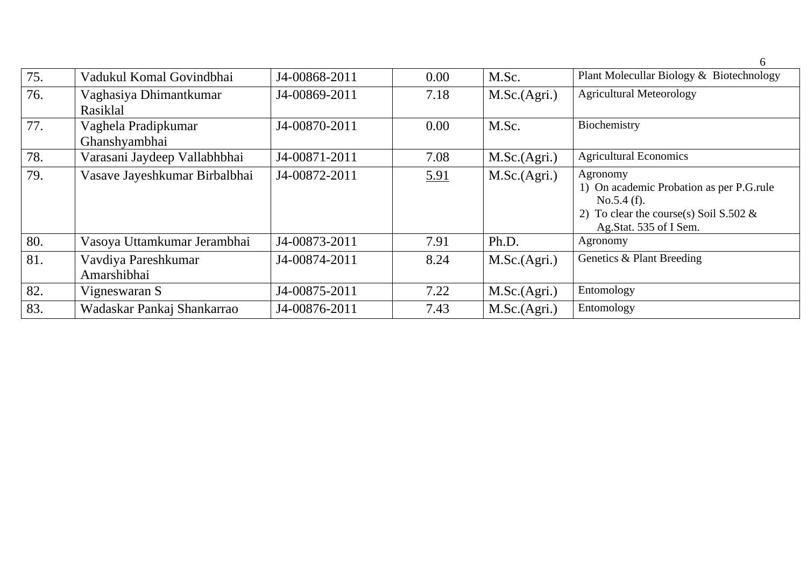| 75. | Vadukul Komal Govindbhai             | J4-00868-2011 | 0.00 | M.Sc.        | Plant Molecullar Biology & Biotechnology                                                                                                  |
|-----|--------------------------------------|---------------|------|--------------|-------------------------------------------------------------------------------------------------------------------------------------------|
| 76. | Vaghasiya Dhimantkumar<br>Rasiklal   | J4-00869-2011 | 7.18 | M.Sc.(Agri.) | <b>Agricultural Meteorology</b>                                                                                                           |
| 77. | Vaghela Pradipkumar<br>Ghanshyambhai | J4-00870-2011 | 0.00 | M.Sc.        | Biochemistry                                                                                                                              |
| 78. | Varasani Jaydeep Vallabhbhai         | J4-00871-2011 | 7.08 | M.Sc.(Agri.) | <b>Agricultural Economics</b>                                                                                                             |
| 79. | Vasave Jayeshkumar Birbalbhai        | J4-00872-2011 | 5.91 | M.Sc.(Agri.) | Agronomy<br>1) On academic Probation as per P.G.rule<br>No.5.4(f).<br>2) To clear the course(s) Soil S.502 $\&$<br>Ag.Stat. 535 of I Sem. |
| 80. | Vasoya Uttamkumar Jerambhai          | J4-00873-2011 | 7.91 | Ph.D.        | Agronomy                                                                                                                                  |
| 81. | Vavdiya Pareshkumar<br>Amarshibhai   | J4-00874-2011 | 8.24 | M.Sc.(Agri.) | Genetics & Plant Breeding                                                                                                                 |
| 82. | Vigneswaran S                        | J4-00875-2011 | 7.22 | M.Sc.(Agri.) | Entomology                                                                                                                                |
| 83. | Wadaskar Pankaj Shankarrao           | J4-00876-2011 | 7.43 | M.Sc.(Agri.) | Entomology                                                                                                                                |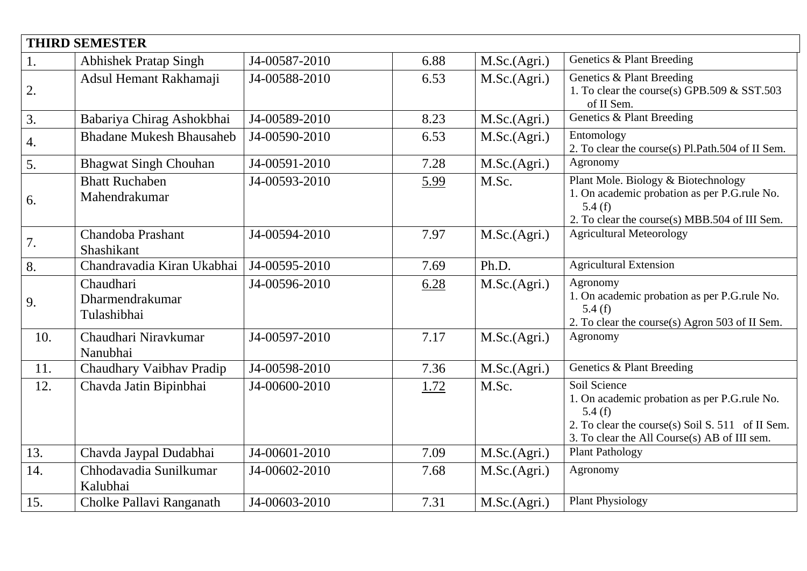| <b>THIRD SEMESTER</b> |                                             |               |      |              |                                                                                                                                                                            |  |  |  |
|-----------------------|---------------------------------------------|---------------|------|--------------|----------------------------------------------------------------------------------------------------------------------------------------------------------------------------|--|--|--|
| 1.                    | <b>Abhishek Pratap Singh</b>                | J4-00587-2010 | 6.88 | M.Sc.(Agri.) | Genetics & Plant Breeding                                                                                                                                                  |  |  |  |
| 2.                    | Adsul Hemant Rakhamaji                      | J4-00588-2010 | 6.53 | M.Sc.(Agri.) | Genetics & Plant Breeding<br>1. To clear the course(s) GPB.509 $&$ SST.503<br>of II Sem.                                                                                   |  |  |  |
| 3.                    | Babariya Chirag Ashokbhai                   | J4-00589-2010 | 8.23 | M.Sc.(Agri.) | Genetics & Plant Breeding                                                                                                                                                  |  |  |  |
| $\overline{4}$ .      | <b>Bhadane Mukesh Bhausaheb</b>             | J4-00590-2010 | 6.53 | M.Sc.(Agri.) | Entomology<br>2. To clear the course(s) Pl.Path.504 of II Sem.                                                                                                             |  |  |  |
| 5.                    | <b>Bhagwat Singh Chouhan</b>                | J4-00591-2010 | 7.28 | M.Sc.(Agri.) | Agronomy                                                                                                                                                                   |  |  |  |
| 6.                    | <b>Bhatt Ruchaben</b><br>Mahendrakumar      | J4-00593-2010 | 5.99 | M.Sc.        | Plant Mole. Biology & Biotechnology<br>1. On academic probation as per P.G.rule No.<br>5.4(f)<br>2. To clear the course(s) MBB.504 of III Sem.                             |  |  |  |
| 7.                    | Chandoba Prashant<br>Shashikant             | J4-00594-2010 | 7.97 | M.Sc.(Agri.) | <b>Agricultural Meteorology</b>                                                                                                                                            |  |  |  |
| 8.                    | Chandravadia Kiran Ukabhai                  | J4-00595-2010 | 7.69 | Ph.D.        | <b>Agricultural Extension</b>                                                                                                                                              |  |  |  |
| 9.                    | Chaudhari<br>Dharmendrakumar<br>Tulashibhai | J4-00596-2010 | 6.28 | M.Sc.(Agri.) | Agronomy<br>1. On academic probation as per P.G.rule No.<br>5.4(f)<br>2. To clear the course(s) Agron 503 of II Sem.                                                       |  |  |  |
| 10.                   | Chaudhari Niravkumar<br>Nanubhai            | J4-00597-2010 | 7.17 | M.Sc.(Agri.) | Agronomy                                                                                                                                                                   |  |  |  |
| 11.                   | Chaudhary Vaibhav Pradip                    | J4-00598-2010 | 7.36 | M.Sc.(Agri.) | Genetics & Plant Breeding                                                                                                                                                  |  |  |  |
| 12.                   | Chavda Jatin Bipinbhai                      | J4-00600-2010 | 1.72 | M.Sc.        | Soil Science<br>1. On academic probation as per P.G.rule No.<br>5.4(f)<br>2. To clear the course(s) Soil S. 511 of II Sem.<br>3. To clear the All Course(s) AB of III sem. |  |  |  |
| 13.                   | Chavda Jaypal Dudabhai                      | J4-00601-2010 | 7.09 | M.Sc.(Agri.) | <b>Plant Pathology</b>                                                                                                                                                     |  |  |  |
| 14.                   | Chhodavadia Sunilkumar<br>Kalubhai          | J4-00602-2010 | 7.68 | M.Sc.(Agri.) | Agronomy                                                                                                                                                                   |  |  |  |
| 15.                   | Cholke Pallavi Ranganath                    | J4-00603-2010 | 7.31 | M.Sc.(Agri.) | <b>Plant Physiology</b>                                                                                                                                                    |  |  |  |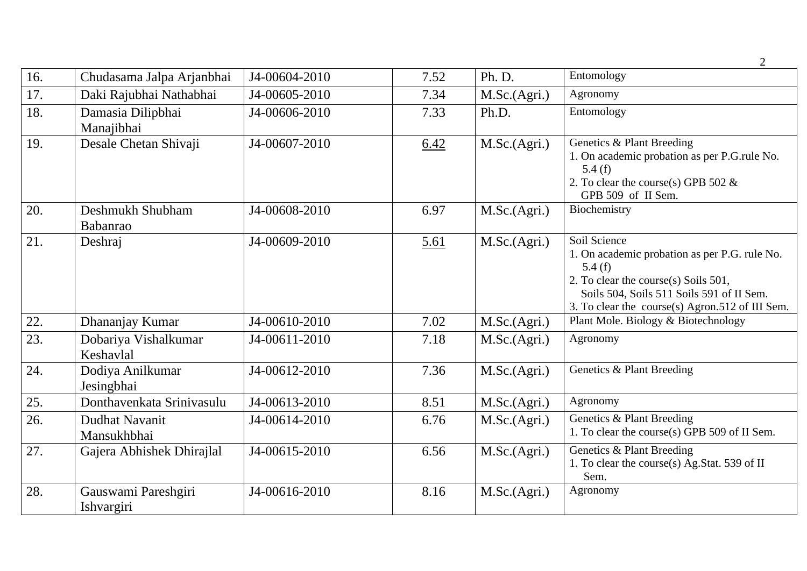|     |                                      |               |      |              | $\overline{2}$                                                                                                                                                                                                     |
|-----|--------------------------------------|---------------|------|--------------|--------------------------------------------------------------------------------------------------------------------------------------------------------------------------------------------------------------------|
| 16. | Chudasama Jalpa Arjanbhai            | J4-00604-2010 | 7.52 | Ph. D.       | Entomology                                                                                                                                                                                                         |
| 17. | Daki Rajubhai Nathabhai              | J4-00605-2010 | 7.34 | M.Sc.(Agri.) | Agronomy                                                                                                                                                                                                           |
| 18. | Damasia Dilipbhai<br>Manajibhai      | J4-00606-2010 | 7.33 | Ph.D.        | Entomology                                                                                                                                                                                                         |
| 19. | Desale Chetan Shivaji                | J4-00607-2010 | 6.42 | M.Sc.(Agri.) | Genetics & Plant Breeding<br>1. On academic probation as per P.G.rule No.<br>5.4(f)<br>2. To clear the course(s) GPB 502 $\&$<br>GPB 509 of II Sem.                                                                |
| 20. | Deshmukh Shubham<br>Babanrao         | J4-00608-2010 | 6.97 | M.Sc.(Agri.) | Biochemistry                                                                                                                                                                                                       |
| 21. | Deshraj                              | J4-00609-2010 | 5.61 | M.Sc.(Agri.) | Soil Science<br>1. On academic probation as per P.G. rule No.<br>5.4 $(f)$<br>2. To clear the course(s) Soils 501,<br>Soils 504, Soils 511 Soils 591 of II Sem.<br>3. To clear the course(s) Agron.512 of III Sem. |
| 22. | Dhananjay Kumar                      | J4-00610-2010 | 7.02 | M.Sc.(Agri.) | Plant Mole. Biology & Biotechnology                                                                                                                                                                                |
| 23. | Dobariya Vishalkumar<br>Keshavlal    | J4-00611-2010 | 7.18 | M.Sc.(Agri.) | Agronomy                                                                                                                                                                                                           |
| 24. | Dodiya Anilkumar<br>Jesingbhai       | J4-00612-2010 | 7.36 | M.Sc.(Agri.) | Genetics & Plant Breeding                                                                                                                                                                                          |
| 25. | Donthavenkata Srinivasulu            | J4-00613-2010 | 8.51 | M.Sc.(Agri.) | Agronomy                                                                                                                                                                                                           |
| 26. | <b>Dudhat Navanit</b><br>Mansukhbhai | J4-00614-2010 | 6.76 | M.Sc.(Agri.) | Genetics & Plant Breeding<br>1. To clear the course(s) GPB 509 of II Sem.                                                                                                                                          |
| 27. | Gajera Abhishek Dhirajlal            | J4-00615-2010 | 6.56 | M.Sc.(Agri.) | Genetics & Plant Breeding<br>1. To clear the course(s) Ag.Stat. 539 of II<br>Sem.                                                                                                                                  |
| 28. | Gauswami Pareshgiri<br>Ishvargiri    | J4-00616-2010 | 8.16 | M.Sc.(Agri.) | Agronomy                                                                                                                                                                                                           |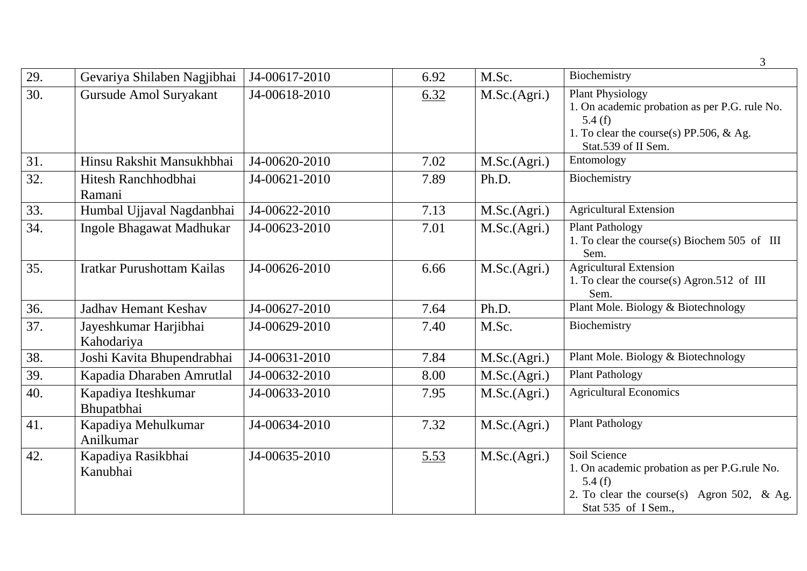|     |                                     |               |      |              | 3                                                                                                                                                       |
|-----|-------------------------------------|---------------|------|--------------|---------------------------------------------------------------------------------------------------------------------------------------------------------|
| 29. | Gevariya Shilaben Nagjibhai         | J4-00617-2010 | 6.92 | M.Sc.        | Biochemistry                                                                                                                                            |
| 30. | Gursude Amol Suryakant              | J4-00618-2010 | 6.32 | M.Sc.(Agri.) | <b>Plant Physiology</b><br>1. On academic probation as per P.G. rule No.<br>5.4(f)<br>1. To clear the course(s) PP.506, $\&$ Ag.<br>Stat.539 of II Sem. |
| 31. | Hinsu Rakshit Mansukhbhai           | J4-00620-2010 | 7.02 | M.Sc.(Agri.) | Entomology                                                                                                                                              |
| 32. | Hitesh Ranchhodbhai<br>Ramani       | J4-00621-2010 | 7.89 | Ph.D.        | Biochemistry                                                                                                                                            |
| 33. | Humbal Ujjaval Nagdanbhai           | J4-00622-2010 | 7.13 | M.Sc.(Agri.) | <b>Agricultural Extension</b>                                                                                                                           |
| 34. | Ingole Bhagawat Madhukar            | J4-00623-2010 | 7.01 | M.Sc.(Agri.) | <b>Plant Pathology</b><br>1. To clear the course(s) Biochem 505 of III<br>Sem.                                                                          |
| 35. | <b>Iratkar Purushottam Kailas</b>   | J4-00626-2010 | 6.66 | M.Sc.(Agri.) | <b>Agricultural Extension</b><br>1. To clear the course(s) Agron.512 of III<br>Sem.                                                                     |
| 36. | <b>Jadhav Hemant Keshav</b>         | J4-00627-2010 | 7.64 | Ph.D.        | Plant Mole. Biology & Biotechnology                                                                                                                     |
| 37. | Jayeshkumar Harjibhai<br>Kahodariya | J4-00629-2010 | 7.40 | M.Sc.        | Biochemistry                                                                                                                                            |
| 38. | Joshi Kavita Bhupendrabhai          | J4-00631-2010 | 7.84 | M.Sc.(Agri.) | Plant Mole. Biology & Biotechnology                                                                                                                     |
| 39. | Kapadia Dharaben Amrutlal           | J4-00632-2010 | 8.00 | M.Sc.(Agri.) | <b>Plant Pathology</b>                                                                                                                                  |
| 40. | Kapadiya Iteshkumar<br>Bhupatbhai   | J4-00633-2010 | 7.95 | M.Sc.(Agri.) | <b>Agricultural Economics</b>                                                                                                                           |
| 41. | Kapadiya Mehulkumar<br>Anilkumar    | J4-00634-2010 | 7.32 | M.Sc.(Agri.) | <b>Plant Pathology</b>                                                                                                                                  |
| 42. | Kapadiya Rasikbhai<br>Kanubhai      | J4-00635-2010 | 5.53 | M.Sc.(Agri.) | Soil Science<br>1. On academic probation as per P.G.rule No.<br>5.4 $(f)$<br>2. To clear the course(s) Agron 502, & Ag.<br>Stat 535 of I Sem.,          |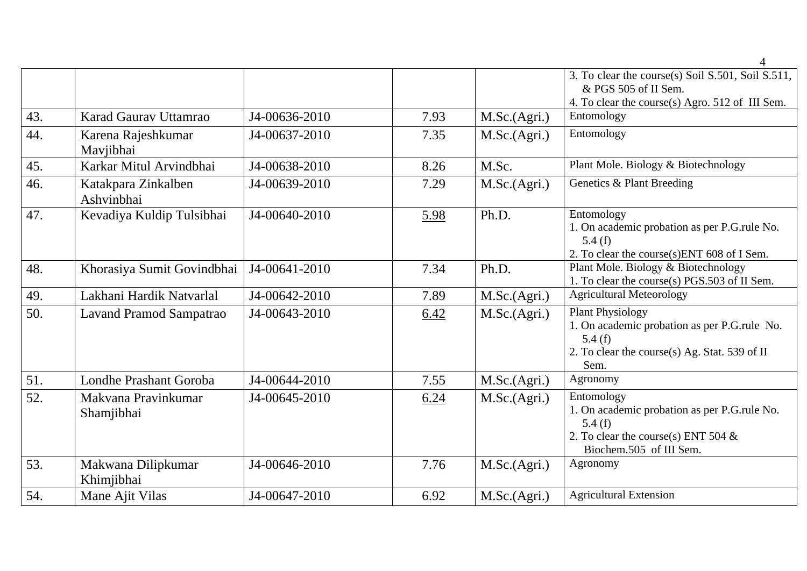|     |                                   |               |      |              | 4                                                                                                                                          |
|-----|-----------------------------------|---------------|------|--------------|--------------------------------------------------------------------------------------------------------------------------------------------|
|     |                                   |               |      |              | 3. To clear the course(s) Soil S.501, Soil S.511,<br>& PGS 505 of II Sem.<br>4. To clear the course(s) Agro. 512 of III Sem.               |
| 43. | Karad Gauray Uttamrao             | J4-00636-2010 | 7.93 | M.Sc.(Agri.) | Entomology                                                                                                                                 |
| 44. | Karena Rajeshkumar<br>Mavjibhai   | J4-00637-2010 | 7.35 | M.Sc.(Agri.) | Entomology                                                                                                                                 |
| 45. | Karkar Mitul Arvindbhai           | J4-00638-2010 | 8.26 | M.Sc.        | Plant Mole. Biology & Biotechnology                                                                                                        |
| 46. | Katakpara Zinkalben<br>Ashvinbhai | J4-00639-2010 | 7.29 | M.Sc.(Agri.) | Genetics & Plant Breeding                                                                                                                  |
| 47. | Kevadiya Kuldip Tulsibhai         | J4-00640-2010 | 5.98 | Ph.D.        | Entomology<br>1. On academic probation as per P.G.rule No.<br>5.4 $(f)$<br>2. To clear the course(s)ENT 608 of I Sem.                      |
| 48. | Khorasiya Sumit Govindbhai        | J4-00641-2010 | 7.34 | Ph.D.        | Plant Mole. Biology & Biotechnology<br>1. To clear the course(s) PGS.503 of II Sem.                                                        |
| 49. | Lakhani Hardik Natvarlal          | J4-00642-2010 | 7.89 | M.Sc.(Agri.) | <b>Agricultural Meteorology</b>                                                                                                            |
| 50. | Lavand Pramod Sampatrao           | J4-00643-2010 | 6.42 | M.Sc.(Agri.) | <b>Plant Physiology</b><br>1. On academic probation as per P.G.rule No.<br>5.4(f)<br>2. To clear the course(s) Ag. Stat. 539 of II<br>Sem. |
| 51. | Londhe Prashant Goroba            | J4-00644-2010 | 7.55 | M.Sc.(Agri.) | Agronomy                                                                                                                                   |
| 52. | Makvana Pravinkumar<br>Shamjibhai | J4-00645-2010 | 6.24 | M.Sc.(Agri.) | Entomology<br>1. On academic probation as per P.G.rule No.<br>5.4(f)<br>2. To clear the course(s) ENT 504 $\&$<br>Biochem.505 of III Sem.  |
| 53. | Makwana Dilipkumar<br>Khimjibhai  | J4-00646-2010 | 7.76 | M.Sc.(Agri.) | Agronomy                                                                                                                                   |
| 54. | Mane Ajit Vilas                   | J4-00647-2010 | 6.92 | M.Sc.(Agri.) | <b>Agricultural Extension</b>                                                                                                              |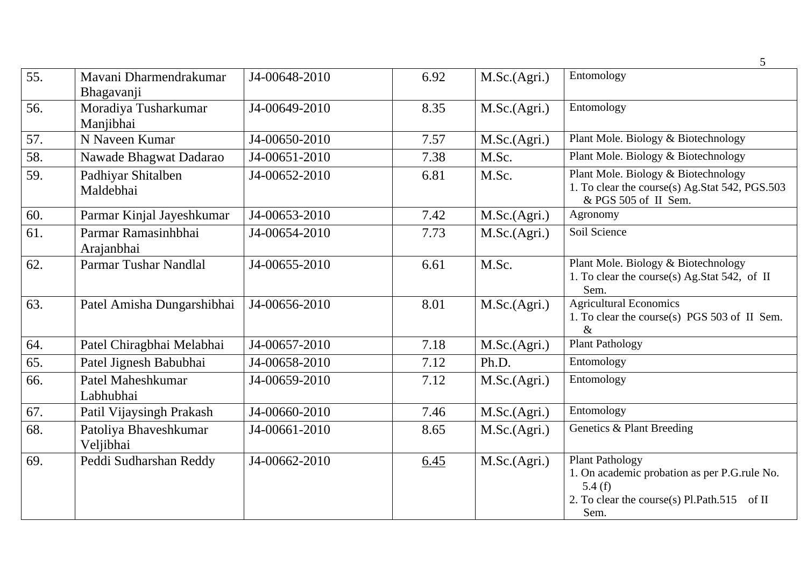|     |                                      |               |      |              | 5                                                                                                                                       |
|-----|--------------------------------------|---------------|------|--------------|-----------------------------------------------------------------------------------------------------------------------------------------|
| 55. | Mavani Dharmendrakumar<br>Bhagavanji | J4-00648-2010 | 6.92 | M.Sc.(Agri.) | Entomology                                                                                                                              |
| 56. | Moradiya Tusharkumar<br>Manjibhai    | J4-00649-2010 | 8.35 | M.Sc.(Agri.) | Entomology                                                                                                                              |
| 57. | N Naveen Kumar                       | J4-00650-2010 | 7.57 | M.Sc.(Agri.) | Plant Mole. Biology & Biotechnology                                                                                                     |
| 58. | Nawade Bhagwat Dadarao               | J4-00651-2010 | 7.38 | M.Sc.        | Plant Mole. Biology & Biotechnology                                                                                                     |
| 59. | Padhiyar Shitalben<br>Maldebhai      | J4-00652-2010 | 6.81 | M.Sc.        | Plant Mole. Biology & Biotechnology<br>1. To clear the course(s) Ag.Stat 542, PGS.503<br>& PGS 505 of II Sem.                           |
| 60. | Parmar Kinjal Jayeshkumar            | J4-00653-2010 | 7.42 | M.Sc.(Agri.) | Agronomy                                                                                                                                |
| 61. | Parmar Ramasinhbhai<br>Arajanbhai    | J4-00654-2010 | 7.73 | M.Sc.(Agri.) | Soil Science                                                                                                                            |
| 62. | Parmar Tushar Nandlal                | J4-00655-2010 | 6.61 | M.Sc.        | Plant Mole. Biology & Biotechnology<br>1. To clear the course(s) Ag.Stat 542, of II<br>Sem.                                             |
| 63. | Patel Amisha Dungarshibhai           | J4-00656-2010 | 8.01 | M.Sc.(Agri.) | <b>Agricultural Economics</b><br>1. To clear the course(s) PGS 503 of II Sem.<br>$\&$                                                   |
| 64. | Patel Chiragbhai Melabhai            | J4-00657-2010 | 7.18 | M.Sc.(Agri.) | <b>Plant Pathology</b>                                                                                                                  |
| 65. | Patel Jignesh Babubhai               | J4-00658-2010 | 7.12 | Ph.D.        | Entomology                                                                                                                              |
| 66. | Patel Maheshkumar<br>Labhubhai       | J4-00659-2010 | 7.12 | M.Sc.(Agri.) | Entomology                                                                                                                              |
| 67. | Patil Vijaysingh Prakash             | J4-00660-2010 | 7.46 | M.Sc.(Agri.) | Entomology                                                                                                                              |
| 68. | Patoliya Bhaveshkumar<br>Veljibhai   | J4-00661-2010 | 8.65 | M.Sc.(Agri.) | Genetics & Plant Breeding                                                                                                               |
| 69. | Peddi Sudharshan Reddy               | J4-00662-2010 | 6.45 | M.Sc.(Agri.) | <b>Plant Pathology</b><br>1. On academic probation as per P.G.rule No.<br>5.4(f)<br>2. To clear the course(s) Pl.Path.515 of II<br>Sem. |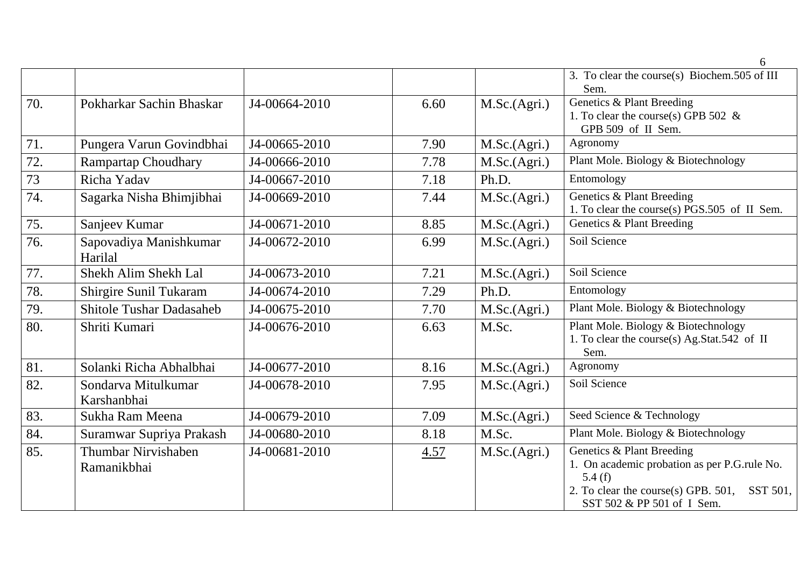|     |                                    |               |      |              | 6                                                                                                                                                                       |
|-----|------------------------------------|---------------|------|--------------|-------------------------------------------------------------------------------------------------------------------------------------------------------------------------|
|     |                                    |               |      |              | 3. To clear the course(s) Biochem.505 of III<br>Sem.                                                                                                                    |
| 70. | Pokharkar Sachin Bhaskar           | J4-00664-2010 | 6.60 | M.Sc.(Agri.) | Genetics & Plant Breeding<br>1. To clear the course(s) GPB 502 $\&$<br>GPB 509 of II Sem.                                                                               |
| 71. | Pungera Varun Govindbhai           | J4-00665-2010 | 7.90 | M.Sc.(Agri.) | Agronomy                                                                                                                                                                |
| 72. | <b>Rampartap Choudhary</b>         | J4-00666-2010 | 7.78 | M.Sc.(Agri.) | Plant Mole. Biology & Biotechnology                                                                                                                                     |
| 73  | Richa Yadav                        | J4-00667-2010 | 7.18 | Ph.D.        | Entomology                                                                                                                                                              |
| 74. | Sagarka Nisha Bhimjibhai           | J4-00669-2010 | 7.44 | M.Sc.(Agri.) | Genetics & Plant Breeding<br>1. To clear the course(s) PGS.505 of II Sem.                                                                                               |
| 75. | Sanjeev Kumar                      | J4-00671-2010 | 8.85 | M.Sc.(Agri.) | Genetics & Plant Breeding                                                                                                                                               |
| 76. | Sapovadiya Manishkumar<br>Harilal  | J4-00672-2010 | 6.99 | M.Sc.(Agri.) | Soil Science                                                                                                                                                            |
| 77. | Shekh Alim Shekh Lal               | J4-00673-2010 | 7.21 | M.Sc.(Agri.) | Soil Science                                                                                                                                                            |
| 78. | Shirgire Sunil Tukaram             | J4-00674-2010 | 7.29 | Ph.D.        | Entomology                                                                                                                                                              |
| 79. | <b>Shitole Tushar Dadasaheb</b>    | J4-00675-2010 | 7.70 | M.Sc.(Agri.) | Plant Mole. Biology & Biotechnology                                                                                                                                     |
| 80. | Shriti Kumari                      | J4-00676-2010 | 6.63 | M.Sc.        | Plant Mole. Biology & Biotechnology<br>1. To clear the course(s) Ag.Stat.542 of II<br>Sem.                                                                              |
| 81. | Solanki Richa Abhalbhai            | J4-00677-2010 | 8.16 | M.Sc.(Agri.) | Agronomy                                                                                                                                                                |
| 82. | Sondarva Mitulkumar<br>Karshanbhai | J4-00678-2010 | 7.95 | M.Sc.(Agri.) | Soil Science                                                                                                                                                            |
| 83. | Sukha Ram Meena                    | J4-00679-2010 | 7.09 | M.Sc.(Agri.) | Seed Science & Technology                                                                                                                                               |
| 84. | Suramwar Supriya Prakash           | J4-00680-2010 | 8.18 | M.Sc.        | Plant Mole. Biology & Biotechnology                                                                                                                                     |
| 85. | Thumbar Nirvishaben<br>Ramanikbhai | J4-00681-2010 | 4.57 | M.Sc.(Agri.) | Genetics & Plant Breeding<br>1. On academic probation as per P.G.rule No.<br>5.4 $(f)$<br>2. To clear the course(s) GPB. 501,<br>SST 501.<br>SST 502 & PP 501 of I Sem. |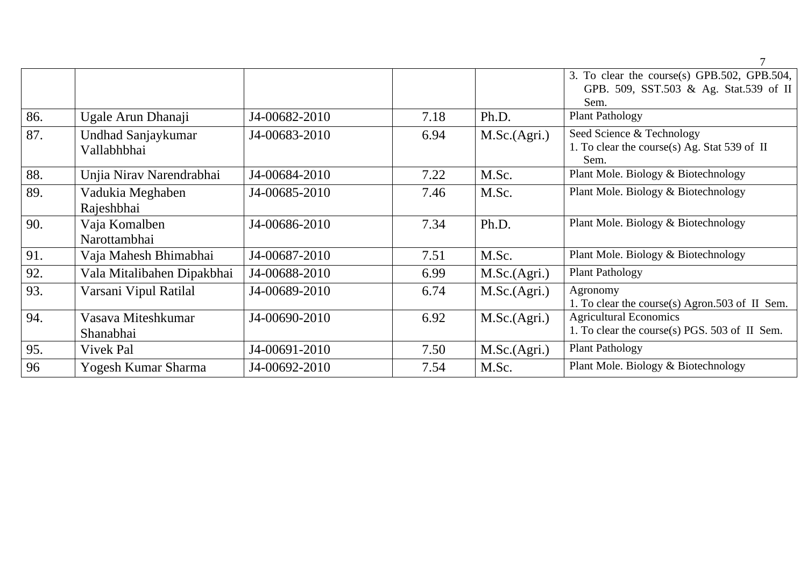|     |                                   |               |      |              | 3. To clear the course(s) GPB.502, GPB.504,<br>GPB. 509, SST.503 & Ag. Stat.539 of II<br>Sem. |
|-----|-----------------------------------|---------------|------|--------------|-----------------------------------------------------------------------------------------------|
| 86. | Ugale Arun Dhanaji                | J4-00682-2010 | 7.18 | Ph.D.        | <b>Plant Pathology</b>                                                                        |
|     |                                   |               |      |              |                                                                                               |
| 87. | Undhad Sanjaykumar<br>Vallabhbhai | J4-00683-2010 | 6.94 | M.Sc.(Agri.) | Seed Science & Technology<br>1. To clear the course(s) Ag. Stat 539 of II<br>Sem.             |
| 88. | Unjia Nirav Narendrabhai          | J4-00684-2010 | 7.22 | M.Sc.        | Plant Mole. Biology & Biotechnology                                                           |
| 89. | Vadukia Meghaben                  | J4-00685-2010 | 7.46 | M.Sc.        | Plant Mole. Biology & Biotechnology                                                           |
|     | Rajeshbhai                        |               |      |              |                                                                                               |
| 90. | Vaja Komalben                     | J4-00686-2010 | 7.34 | Ph.D.        | Plant Mole. Biology & Biotechnology                                                           |
|     | Narottambhai                      |               |      |              |                                                                                               |
| 91. | Vaja Mahesh Bhimabhai             | J4-00687-2010 | 7.51 | M.Sc.        | Plant Mole. Biology & Biotechnology                                                           |
| 92. | Vala Mitalibahen Dipakbhai        | J4-00688-2010 | 6.99 | M.Sc.(Agri.) | <b>Plant Pathology</b>                                                                        |
| 93. | Varsani Vipul Ratilal             | J4-00689-2010 | 6.74 | M.Sc.(Agri.) | Agronomy<br>1. To clear the course(s) Agron.503 of II Sem.                                    |
| 94. | Vasava Miteshkumar<br>Shanabhai   | J4-00690-2010 | 6.92 | M.Sc.(Agri.) | <b>Agricultural Economics</b><br>1. To clear the course(s) PGS. 503 of II Sem.                |
|     |                                   |               |      |              |                                                                                               |
| 95. | Vivek Pal                         | J4-00691-2010 | 7.50 | M.Sc.(Agri.) | <b>Plant Pathology</b>                                                                        |
| 96  | Yogesh Kumar Sharma               | J4-00692-2010 | 7.54 | M.Sc.        | Plant Mole. Biology & Biotechnology                                                           |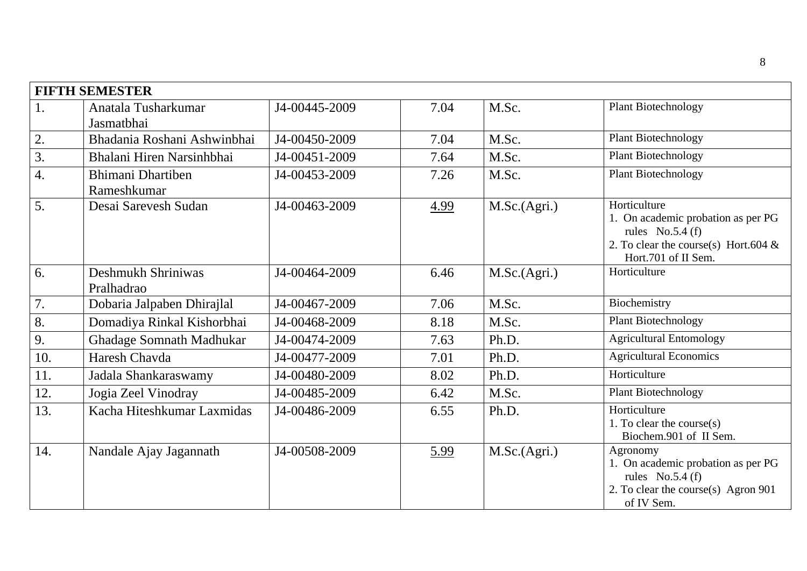|                  | <b>FIFTH SEMESTER</b>                   |               |      |              |                                                                                                                                           |
|------------------|-----------------------------------------|---------------|------|--------------|-------------------------------------------------------------------------------------------------------------------------------------------|
| 1.               | Anatala Tusharkumar<br>Jasmatbhai       | J4-00445-2009 | 7.04 | M.Sc.        | <b>Plant Biotechnology</b>                                                                                                                |
| 2.               | Bhadania Roshani Ashwinbhai             | J4-00450-2009 | 7.04 | M.Sc.        | <b>Plant Biotechnology</b>                                                                                                                |
| $\overline{3}$ . | Bhalani Hiren Narsinhbhai               | J4-00451-2009 | 7.64 | M.Sc.        | <b>Plant Biotechnology</b>                                                                                                                |
| $\overline{4}$ . | <b>Bhimani Dhartiben</b><br>Rameshkumar | J4-00453-2009 | 7.26 | M.Sc.        | Plant Biotechnology                                                                                                                       |
| 5.               | Desai Sarevesh Sudan                    | J4-00463-2009 | 4.99 | M.Sc.(Agri.) | Horticulture<br>1. On academic probation as per PG<br>rules $No.5.4(f)$<br>2. To clear the course(s) Hort.604 $\&$<br>Hort.701 of II Sem. |
| 6.               | Deshmukh Shriniwas<br>Pralhadrao        | J4-00464-2009 | 6.46 | M.Sc.(Agri.) | Horticulture                                                                                                                              |
| 7.               | Dobaria Jalpaben Dhirajlal              | J4-00467-2009 | 7.06 | M.Sc.        | Biochemistry                                                                                                                              |
| 8.               | Domadiya Rinkal Kishorbhai              | J4-00468-2009 | 8.18 | M.Sc.        | Plant Biotechnology                                                                                                                       |
| 9.               | <b>Ghadage Somnath Madhukar</b>         | J4-00474-2009 | 7.63 | Ph.D.        | <b>Agricultural Entomology</b>                                                                                                            |
| 10.              | Haresh Chavda                           | J4-00477-2009 | 7.01 | Ph.D.        | <b>Agricultural Economics</b>                                                                                                             |
| 11.              | Jadala Shankaraswamy                    | J4-00480-2009 | 8.02 | Ph.D.        | Horticulture                                                                                                                              |
| 12.              | Jogia Zeel Vinodray                     | J4-00485-2009 | 6.42 | M.Sc.        | <b>Plant Biotechnology</b>                                                                                                                |
| 13.              | Kacha Hiteshkumar Laxmidas              | J4-00486-2009 | 6.55 | Ph.D.        | Horticulture<br>1. To clear the course $(s)$<br>Biochem.901 of II Sem.                                                                    |
| 14.              | Nandale Ajay Jagannath                  | J4-00508-2009 | 5.99 | M.Sc.(Agri.) | Agronomy<br>1. On academic probation as per PG<br>rules $No.5.4(f)$<br>2. To clear the course(s) Agron 901<br>of IV Sem.                  |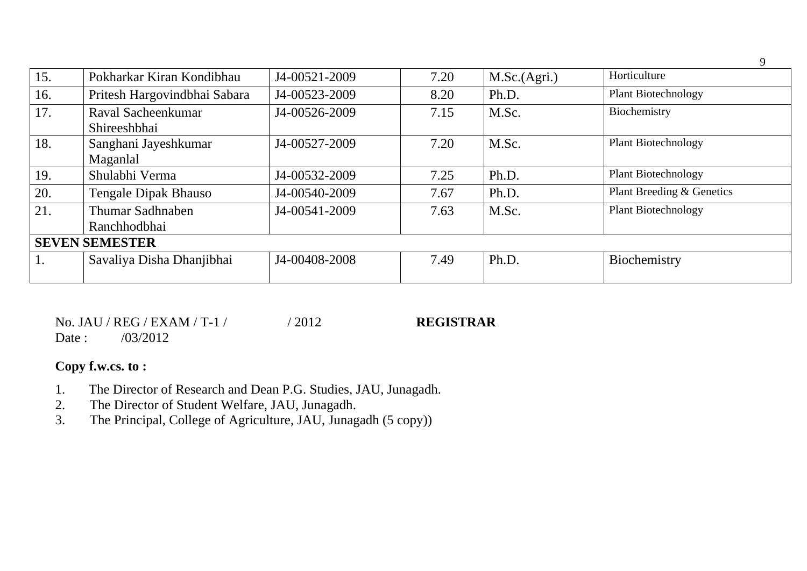| 15. | Pokharkar Kiran Kondibhau          | J4-00521-2009 | 7.20 | M.Sc.(Agri.) | Horticulture               |
|-----|------------------------------------|---------------|------|--------------|----------------------------|
| 16. | Pritesh Hargovindbhai Sabara       | J4-00523-2009 | 8.20 | Ph.D.        | <b>Plant Biotechnology</b> |
| 17. | Raval Sacheenkumar<br>Shireeshbhai | J4-00526-2009 | 7.15 | M.Sc.        | Biochemistry               |
| 18. | Sanghani Jayeshkumar<br>Maganlal   | J4-00527-2009 | 7.20 | M.Sc.        | <b>Plant Biotechnology</b> |
| 19. | Shulabhi Verma                     | J4-00532-2009 | 7.25 | Ph.D.        | <b>Plant Biotechnology</b> |
| 20. | <b>Tengale Dipak Bhauso</b>        | J4-00540-2009 | 7.67 | Ph.D.        | Plant Breeding & Genetics  |
| 21. | Thumar Sadhnaben<br>Ranchhodbhai   | J4-00541-2009 | 7.63 | M.Sc.        | <b>Plant Biotechnology</b> |
|     | <b>SEVEN SEMESTER</b>              |               |      |              |                            |
| Ī.  | Savaliya Disha Dhanjibhai          | J4-00408-2008 | 7.49 | Ph.D.        | Biochemistry               |

9

|        | No. JAU / REG / EXAM / T-1 / | /2012 | <b>REGISTRAR</b> |
|--------|------------------------------|-------|------------------|
| Date : | /03/2012                     |       |                  |

# **Copy f.w.cs. to :**

- 1. The Director of Research and Dean P.G. Studies, JAU, Junagadh.
- 2. The Director of Student Welfare, JAU, Junagadh.<br>3. The Principal, College of Agriculture, JAU, Junag
- The Principal, College of Agriculture, JAU, Junagadh (5 copy))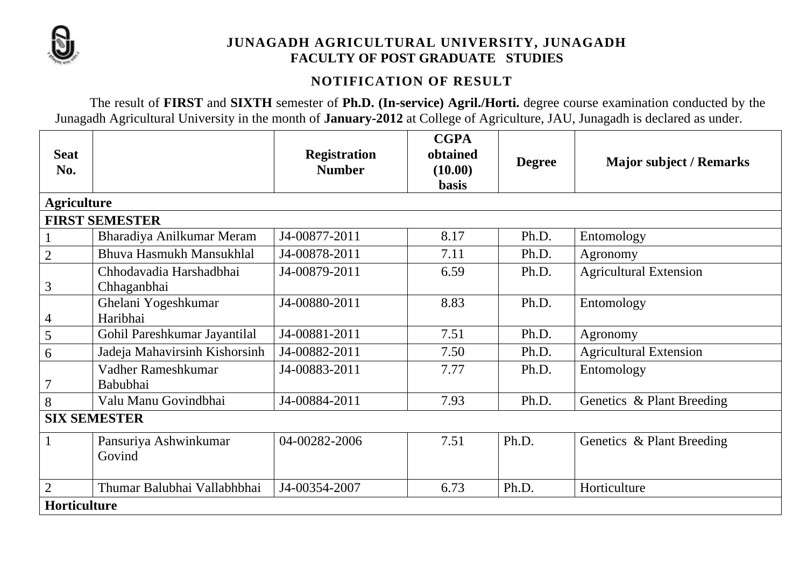

# **JUNAGADH AGRICULTURAL UNIVERSITY, JUNAGADH FACULTY OF POST GRADUATE STUDIES**

# **NOTIFICATION OF RESULT**

The result of **FIRST** and **SIXTH** semester of **Ph.D. (In-service) Agril./Horti.** degree course examination conducted by the Junagadh Agricultural University in the month of **January-2012** at College of Agriculture, JAU, Junagadh is declared as under.

| <b>Seat</b><br>No. |                                        | <b>Registration</b><br><b>Number</b> | <b>CGPA</b><br>obtained<br>(10.00)<br><b>basis</b> | <b>Degree</b> | <b>Major subject / Remarks</b> |
|--------------------|----------------------------------------|--------------------------------------|----------------------------------------------------|---------------|--------------------------------|
| <b>Agriculture</b> |                                        |                                      |                                                    |               |                                |
|                    | <b>FIRST SEMESTER</b>                  |                                      |                                                    |               |                                |
|                    | Bharadiya Anilkumar Meram              | J4-00877-2011                        | 8.17                                               | Ph.D.         | Entomology                     |
| $\overline{2}$     | Bhuva Hasmukh Mansukhlal               | J4-00878-2011                        | 7.11                                               | Ph.D.         | Agronomy                       |
| 3                  | Chhodavadia Harshadbhai<br>Chhaganbhai | J4-00879-2011                        | 6.59                                               | Ph.D.         | <b>Agricultural Extension</b>  |
| 4                  | Ghelani Yogeshkumar<br>Haribhai        | J4-00880-2011                        | 8.83                                               | Ph.D.         | Entomology                     |
| 5                  | Gohil Pareshkumar Jayantilal           | J4-00881-2011                        | 7.51                                               | Ph.D.         | Agronomy                       |
| 6                  | Jadeja Mahavirsinh Kishorsinh          | J4-00882-2011                        | 7.50                                               | Ph.D.         | <b>Agricultural Extension</b>  |
| $\overline{7}$     | Vadher Rameshkumar<br>Babubhai         | J4-00883-2011                        | 7.77                                               | Ph.D.         | Entomology                     |
| 8                  | Valu Manu Govindbhai                   | J4-00884-2011                        | 7.93                                               | Ph.D.         | Genetics & Plant Breeding      |
|                    | <b>SIX SEMESTER</b>                    |                                      |                                                    |               |                                |
|                    | Pansuriya Ashwinkumar<br>Govind        | 04-00282-2006                        | 7.51                                               | Ph.D.         | Genetics & Plant Breeding      |
| $\overline{2}$     | Thumar Balubhai Vallabhbhai            | J4-00354-2007                        | 6.73                                               | Ph.D.         | Horticulture                   |
| Horticulture       |                                        |                                      |                                                    |               |                                |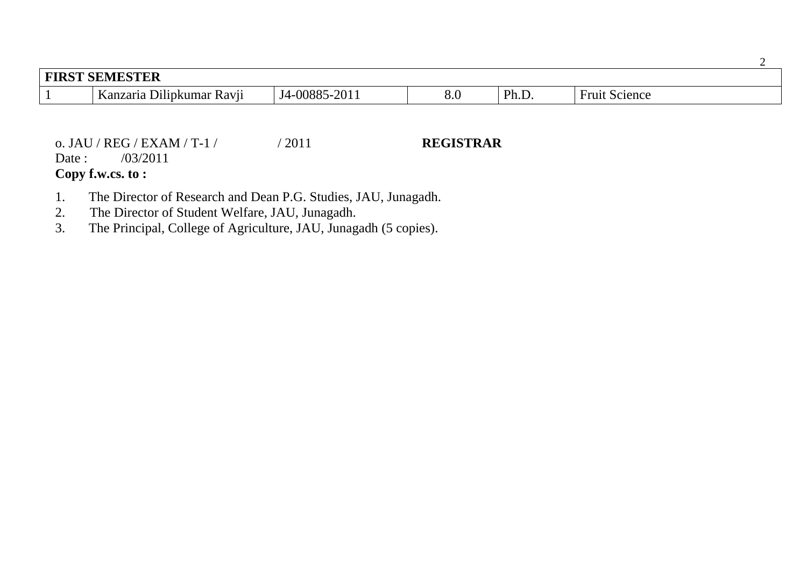| <b>FIRST SEMESTER</b> |                                                                                  |               |     |       |                                        |  |
|-----------------------|----------------------------------------------------------------------------------|---------------|-----|-------|----------------------------------------|--|
|                       | $\bullet\bullet$<br>$\boldsymbol{V}$<br>$\sim$<br>Kanzaria Dilipkumar<br>' Kavıı | J4-00885-2011 | o.v | Ph.D. | $\blacksquare$<br><b>Fruit Science</b> |  |

o. JAU / REG / EXAM / T-1 / / 2011 **REGISTRAR** Date : /03/2011 **Copy f.w.cs. to :**

- 1. The Director of Research and Dean P.G. Studies, JAU, Junagadh.<br>2. The Director of Student Welfare, JAU, Junagadh.
- The Director of Student Welfare, JAU, Junagadh.
- 3. The Principal, College of Agriculture, JAU, Junagadh (5 copies).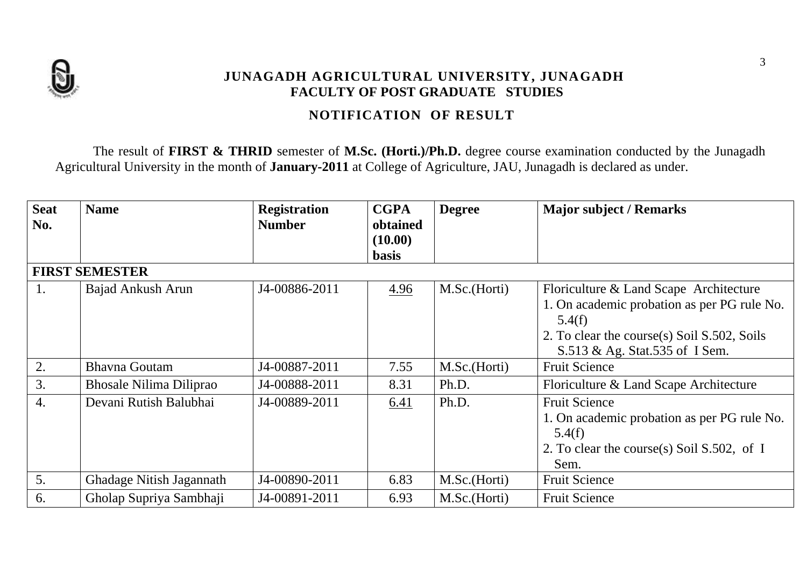

## **JUNAGADH AGRICULTURAL UNIVERSITY, JUNAGADH FACULTY OF POST GRADUATE STUDIES**

# **NOTIFICATION OF RESULT**

The result of **FIRST & THRID** semester of **M.Sc. (Horti.)/Ph.D.** degree course examination conducted by the Junagadh Agricultural University in the month of **January-2011** at College of Agriculture, JAU, Junagadh is declared as under.

| <b>Seat</b><br>No.    | <b>Name</b>                    | <b>Registration</b><br><b>Number</b> | <b>CGPA</b><br>obtained | <b>Degree</b> | <b>Major subject / Remarks</b>                                                |  |  |
|-----------------------|--------------------------------|--------------------------------------|-------------------------|---------------|-------------------------------------------------------------------------------|--|--|
|                       |                                |                                      | (10.00)                 |               |                                                                               |  |  |
|                       |                                |                                      | <b>basis</b>            |               |                                                                               |  |  |
| <b>FIRST SEMESTER</b> |                                |                                      |                         |               |                                                                               |  |  |
| 1.                    | Bajad Ankush Arun              | J4-00886-2011                        | 4.96                    | M.Sc.(Horti)  | Floriculture & Land Scape Architecture                                        |  |  |
|                       |                                |                                      |                         |               | 1. On academic probation as per PG rule No.<br>5.4(f)                         |  |  |
|                       |                                |                                      |                         |               | 2. To clear the course(s) Soil S.502, Soils<br>S.513 & Ag. Stat.535 of I Sem. |  |  |
| 2.                    | <b>Bhavna Goutam</b>           | J4-00887-2011                        | 7.55                    | M.Sc.(Horti)  | <b>Fruit Science</b>                                                          |  |  |
| 3.                    | <b>Bhosale Nilima Diliprao</b> | J4-00888-2011                        | 8.31                    | Ph.D.         | Floriculture & Land Scape Architecture                                        |  |  |
| 4.                    | Devani Rutish Balubhai         | J4-00889-2011                        | 6.41                    | Ph.D.         | <b>Fruit Science</b>                                                          |  |  |
|                       |                                |                                      |                         |               | 1. On academic probation as per PG rule No.                                   |  |  |
|                       |                                |                                      |                         |               | 5.4(f)                                                                        |  |  |
|                       |                                |                                      |                         |               | 2. To clear the course(s) Soil S.502, of I                                    |  |  |
|                       |                                |                                      |                         |               | Sem.                                                                          |  |  |
| 5.                    | Ghadage Nitish Jagannath       | J4-00890-2011                        | 6.83                    | M.Sc.(Horti)  | <b>Fruit Science</b>                                                          |  |  |
| 6.                    | Gholap Supriya Sambhaji        | J4-00891-2011                        | 6.93                    | M.Sc.(Horti)  | <b>Fruit Science</b>                                                          |  |  |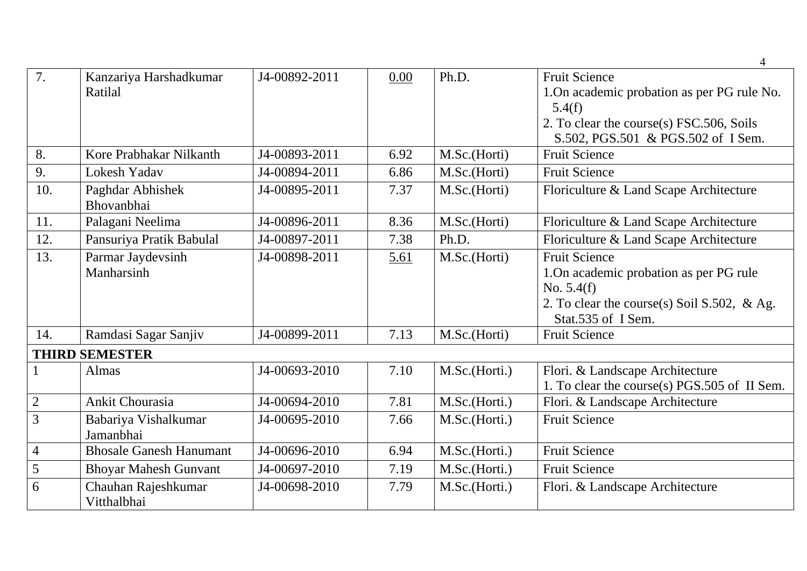| 7.             | Kanzariya Harshadkumar<br>Ratilal  | J4-00892-2011 | 0.00 | Ph.D.         | <b>Fruit Science</b><br>1. On academic probation as per PG rule No.<br>5.4(f)<br>2. To clear the course(s) FSC.506, Soils                            |
|----------------|------------------------------------|---------------|------|---------------|------------------------------------------------------------------------------------------------------------------------------------------------------|
|                |                                    |               |      |               | S.502, PGS.501 & PGS.502 of I Sem.                                                                                                                   |
| 8.             | Kore Prabhakar Nilkanth            | J4-00893-2011 | 6.92 | M.Sc.(Horti)  | <b>Fruit Science</b>                                                                                                                                 |
| 9.             | <b>Lokesh Yadav</b>                | J4-00894-2011 | 6.86 | M.Sc.(Horti)  | <b>Fruit Science</b>                                                                                                                                 |
| 10.            | Paghdar Abhishek<br>Bhovanbhai     | J4-00895-2011 | 7.37 | M.Sc.(Horti)  | Floriculture & Land Scape Architecture                                                                                                               |
| 11.            | Palagani Neelima                   | J4-00896-2011 | 8.36 | M.Sc.(Horti)  | Floriculture & Land Scape Architecture                                                                                                               |
| 12.            | Pansuriya Pratik Babulal           | J4-00897-2011 | 7.38 | Ph.D.         | Floriculture & Land Scape Architecture                                                                                                               |
| 13.            | Parmar Jaydevsinh<br>Manharsinh    | J4-00898-2011 | 5.61 | M.Sc.(Horti)  | <b>Fruit Science</b><br>1. On academic probation as per PG rule<br>No. $5.4(f)$<br>2. To clear the course(s) Soil S.502, & Ag.<br>Stat.535 of I Sem. |
| 14.            | Ramdasi Sagar Sanjiv               | J4-00899-2011 | 7.13 | M.Sc.(Horti)  | <b>Fruit Science</b>                                                                                                                                 |
|                | <b>THIRD SEMESTER</b>              |               |      |               |                                                                                                                                                      |
|                | Almas                              | J4-00693-2010 | 7.10 | M.Sc.(Horti.) | Flori. & Landscape Architecture<br>1. To clear the course(s) PGS.505 of II Sem.                                                                      |
| $\sqrt{2}$     | <b>Ankit Chourasia</b>             | J4-00694-2010 | 7.81 | M.Sc.(Horti.) | Flori. & Landscape Architecture                                                                                                                      |
| 3              | Babariya Vishalkumar<br>Jamanbhai  | J4-00695-2010 | 7.66 | M.Sc.(Horti.) | <b>Fruit Science</b>                                                                                                                                 |
| $\overline{4}$ | <b>Bhosale Ganesh Hanumant</b>     | J4-00696-2010 | 6.94 | M.Sc.(Horti.) | <b>Fruit Science</b>                                                                                                                                 |
| 5              | <b>Bhoyar Mahesh Gunvant</b>       | J4-00697-2010 | 7.19 | M.Sc.(Horti.) | <b>Fruit Science</b>                                                                                                                                 |
| 6              | Chauhan Rajeshkumar<br>Vitthalbhai | J4-00698-2010 | 7.79 | M.Sc.(Horti.) | Flori. & Landscape Architecture                                                                                                                      |

4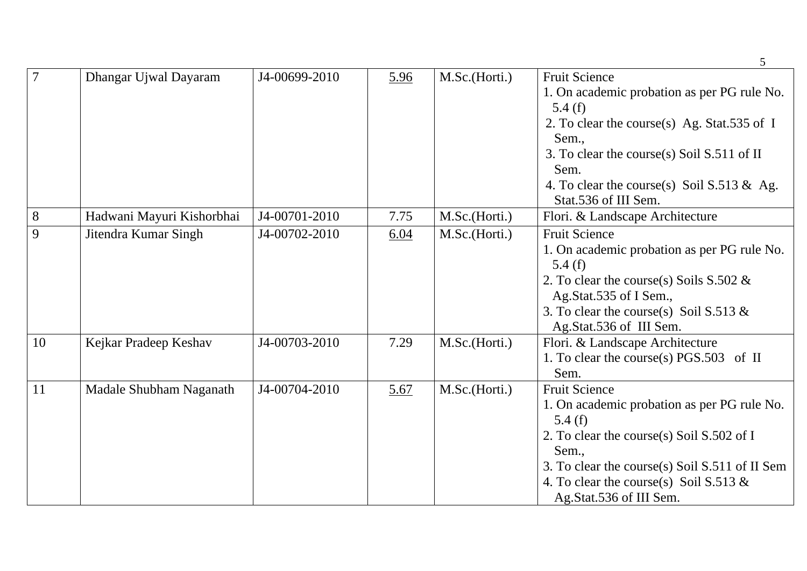|       |                           |               |      |               | 5                                              |
|-------|---------------------------|---------------|------|---------------|------------------------------------------------|
|       | Dhangar Ujwal Dayaram     | J4-00699-2010 | 5.96 | M.Sc.(Horti.) | <b>Fruit Science</b>                           |
|       |                           |               |      |               | 1. On academic probation as per PG rule No.    |
|       |                           |               |      |               | 5.4(f)                                         |
|       |                           |               |      |               | 2. To clear the course(s) Ag. Stat.535 of I    |
|       |                           |               |      |               | Sem.,                                          |
|       |                           |               |      |               | 3. To clear the course(s) Soil S.511 of II     |
|       |                           |               |      |               | Sem.                                           |
|       |                           |               |      |               | 4. To clear the course(s) Soil $S.513 \& Ag.$  |
|       |                           |               |      |               | Stat.536 of III Sem.                           |
| $8\,$ | Hadwani Mayuri Kishorbhai | J4-00701-2010 | 7.75 | M.Sc.(Horti.) | Flori. & Landscape Architecture                |
| 9     | Jitendra Kumar Singh      | J4-00702-2010 | 6.04 | M.Sc.(Horti.) | <b>Fruit Science</b>                           |
|       |                           |               |      |               | 1. On academic probation as per PG rule No.    |
|       |                           |               |      |               | 5.4(f)                                         |
|       |                           |               |      |               | 2. To clear the course(s) Soils $S.502 \&$     |
|       |                           |               |      |               | Ag.Stat.535 of I Sem.,                         |
|       |                           |               |      |               | 3. To clear the course(s) Soil S.513 $\&$      |
|       |                           |               |      |               | Ag.Stat.536 of III Sem.                        |
| 10    | Kejkar Pradeep Keshav     | J4-00703-2010 | 7.29 | M.Sc.(Horti.) | Flori. & Landscape Architecture                |
|       |                           |               |      |               | 1. To clear the course(s) PGS.503 of II        |
|       |                           |               |      |               | Sem.                                           |
| 11    | Madale Shubham Naganath   | J4-00704-2010 | 5.67 | M.Sc.(Horti.) | <b>Fruit Science</b>                           |
|       |                           |               |      |               | 1. On academic probation as per PG rule No.    |
|       |                           |               |      |               | 5.4 $(f)$                                      |
|       |                           |               |      |               | 2. To clear the course(s) Soil S.502 of I      |
|       |                           |               |      |               | Sem.,                                          |
|       |                           |               |      |               | 3. To clear the course(s) Soil S.511 of II Sem |
|       |                           |               |      |               | 4. To clear the course(s) Soil S.513 $\&$      |
|       |                           |               |      |               | Ag.Stat.536 of III Sem.                        |